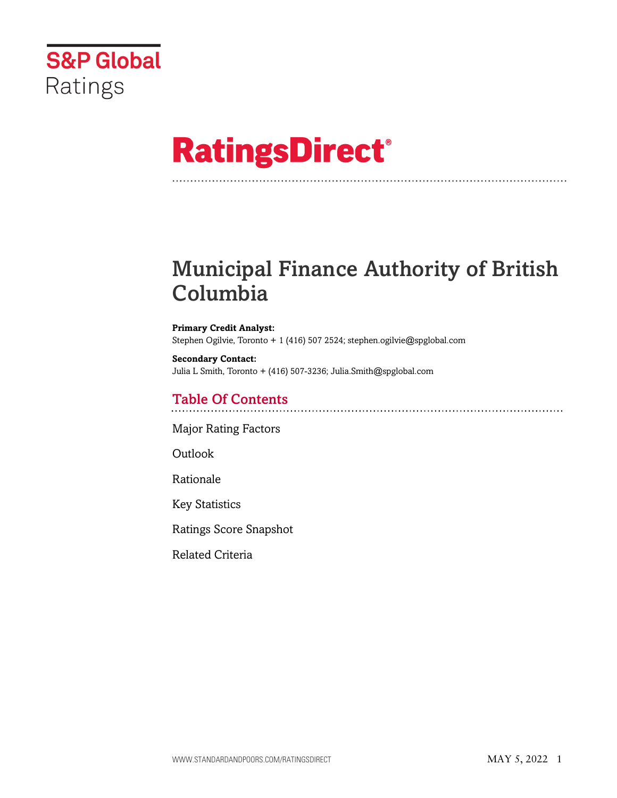

# **RatingsDirect®**

## Municipal Finance Authority of British Columbia

**Primary Credit Analyst:** Stephen Ogilvie, Toronto + 1 (416) 507 2524; stephen.ogilvie@spglobal.com

**Secondary Contact:** Julia L Smith, Toronto + (416) 507-3236; Julia.Smith@spglobal.com

## Table Of Contents

[Major Rating Factors](#page-1-0)

[Outlook](#page-1-1)

[Rationale](#page-2-0)

[Key Statistics](#page-5-0)

[Ratings Score Snapshot](#page-5-1)

[Related Criteria](#page-6-0)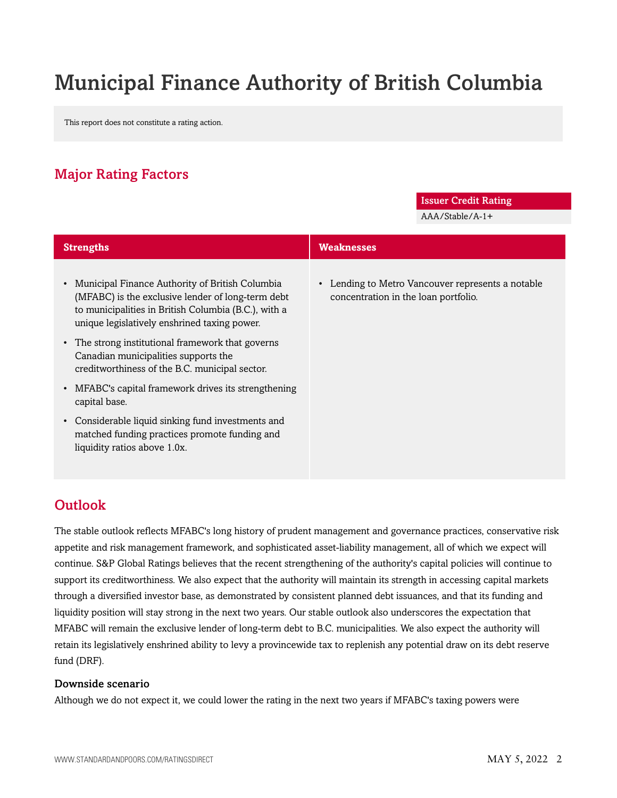## Municipal Finance Authority of British Columbia

This report does not constitute a rating action.

## <span id="page-1-0"></span>Major Rating Factors

#### Issuer Credit Rating

AAA/Stable/A-1+

| <b>Strengths</b>                                                                                                                                                                                                          | <b>Weaknesses</b>                                                                         |
|---------------------------------------------------------------------------------------------------------------------------------------------------------------------------------------------------------------------------|-------------------------------------------------------------------------------------------|
| Municipal Finance Authority of British Columbia<br>$\bullet$<br>(MFABC) is the exclusive lender of long-term debt<br>to municipalities in British Columbia (B.C.), with a<br>unique legislatively enshrined taxing power. | • Lending to Metro Vancouver represents a notable<br>concentration in the loan portfolio. |
| • The strong institutional framework that governs<br>Canadian municipalities supports the<br>creditworthiness of the B.C. municipal sector.                                                                               |                                                                                           |
| MFABC's capital framework drives its strengthening<br>$\bullet$<br>capital base.                                                                                                                                          |                                                                                           |
| Considerable liquid sinking fund investments and<br>$\bullet$<br>matched funding practices promote funding and<br>liquidity ratios above 1.0x.                                                                            |                                                                                           |

## <span id="page-1-1"></span>**Outlook**

The stable outlook reflects MFABC's long history of prudent management and governance practices, conservative risk appetite and risk management framework, and sophisticated asset-liability management, all of which we expect will continue. S&P Global Ratings believes that the recent strengthening of the authority's capital policies will continue to support its creditworthiness. We also expect that the authority will maintain its strength in accessing capital markets through a diversified investor base, as demonstrated by consistent planned debt issuances, and that its funding and liquidity position will stay strong in the next two years. Our stable outlook also underscores the expectation that MFABC will remain the exclusive lender of long-term debt to B.C. municipalities. We also expect the authority will retain its legislatively enshrined ability to levy a provincewide tax to replenish any potential draw on its debt reserve fund (DRF).

#### Downside scenario

Although we do not expect it, we could lower the rating in the next two years if MFABC's taxing powers were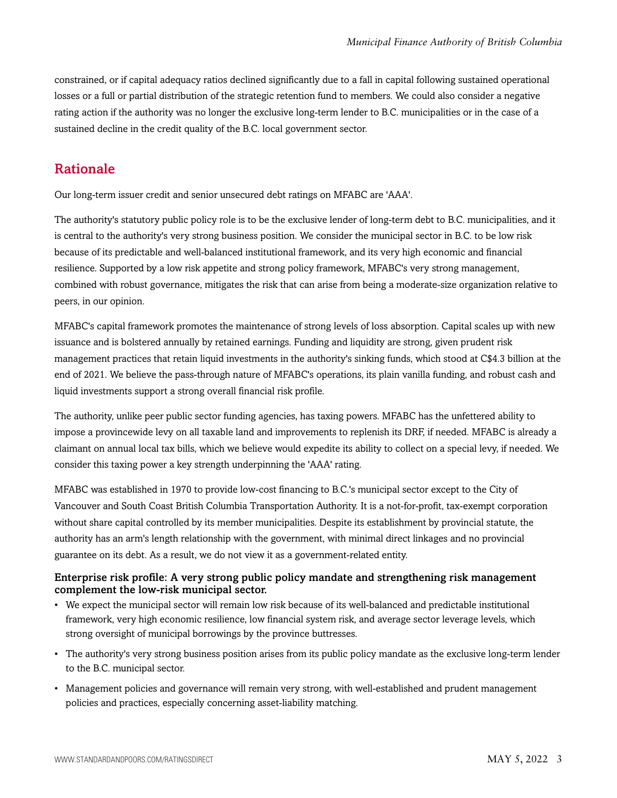constrained, or if capital adequacy ratios declined significantly due to a fall in capital following sustained operational losses or a full or partial distribution of the strategic retention fund to members. We could also consider a negative rating action if the authority was no longer the exclusive long-term lender to B.C. municipalities or in the case of a sustained decline in the credit quality of the B.C. local government sector.

### <span id="page-2-0"></span>Rationale

Our long-term issuer credit and senior unsecured debt ratings on MFABC are 'AAA'.

The authority's statutory public policy role is to be the exclusive lender of long-term debt to B.C. municipalities, and it is central to the authority's very strong business position. We consider the municipal sector in B.C. to be low risk because of its predictable and well-balanced institutional framework, and its very high economic and financial resilience. Supported by a low risk appetite and strong policy framework, MFABC's very strong management, combined with robust governance, mitigates the risk that can arise from being a moderate-size organization relative to peers, in our opinion.

MFABC's capital framework promotes the maintenance of strong levels of loss absorption. Capital scales up with new issuance and is bolstered annually by retained earnings. Funding and liquidity are strong, given prudent risk management practices that retain liquid investments in the authority's sinking funds, which stood at C\$4.3 billion at the end of 2021. We believe the pass-through nature of MFABC's operations, its plain vanilla funding, and robust cash and liquid investments support a strong overall financial risk profile.

The authority, unlike peer public sector funding agencies, has taxing powers. MFABC has the unfettered ability to impose a provincewide levy on all taxable land and improvements to replenish its DRF, if needed. MFABC is already a claimant on annual local tax bills, which we believe would expedite its ability to collect on a special levy, if needed. We consider this taxing power a key strength underpinning the 'AAA' rating.

MFABC was established in 1970 to provide low-cost financing to B.C.'s municipal sector except to the City of Vancouver and South Coast British Columbia Transportation Authority. It is a not-for-profit, tax-exempt corporation without share capital controlled by its member municipalities. Despite its establishment by provincial statute, the authority has an arm's length relationship with the government, with minimal direct linkages and no provincial guarantee on its debt. As a result, we do not view it as a government-related entity.

#### Enterprise risk profile: A very strong public policy mandate and strengthening risk management complement the low-risk municipal sector.

- We expect the municipal sector will remain low risk because of its well-balanced and predictable institutional framework, very high economic resilience, low financial system risk, and average sector leverage levels, which strong oversight of municipal borrowings by the province buttresses.
- The authority's very strong business position arises from its public policy mandate as the exclusive long-term lender to the B.C. municipal sector.
- Management policies and governance will remain very strong, with well-established and prudent management policies and practices, especially concerning asset-liability matching.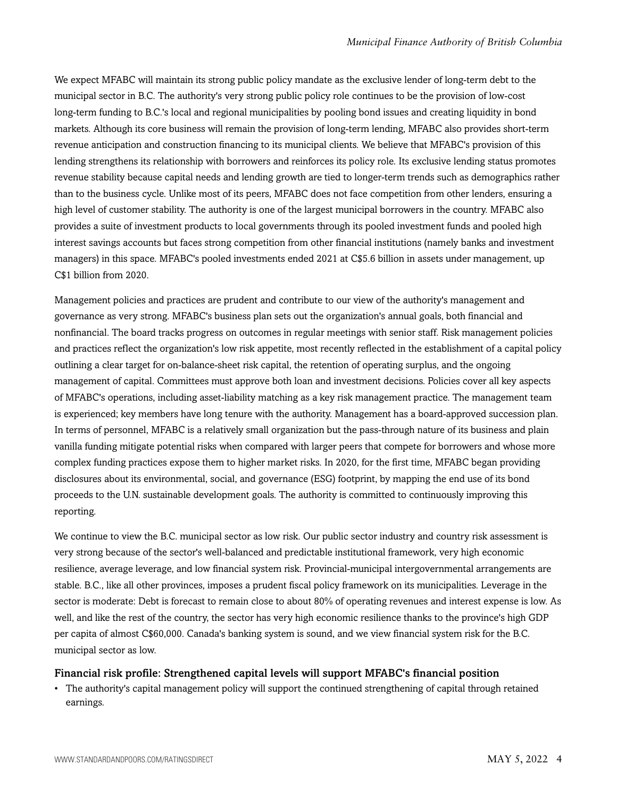We expect MFABC will maintain its strong public policy mandate as the exclusive lender of long-term debt to the municipal sector in B.C. The authority's very strong public policy role continues to be the provision of low-cost long-term funding to B.C.'s local and regional municipalities by pooling bond issues and creating liquidity in bond markets. Although its core business will remain the provision of long-term lending, MFABC also provides short-term revenue anticipation and construction financing to its municipal clients. We believe that MFABC's provision of this lending strengthens its relationship with borrowers and reinforces its policy role. Its exclusive lending status promotes revenue stability because capital needs and lending growth are tied to longer-term trends such as demographics rather than to the business cycle. Unlike most of its peers, MFABC does not face competition from other lenders, ensuring a high level of customer stability. The authority is one of the largest municipal borrowers in the country. MFABC also provides a suite of investment products to local governments through its pooled investment funds and pooled high interest savings accounts but faces strong competition from other financial institutions (namely banks and investment managers) in this space. MFABC's pooled investments ended 2021 at C\$5.6 billion in assets under management, up C\$1 billion from 2020.

Management policies and practices are prudent and contribute to our view of the authority's management and governance as very strong. MFABC's business plan sets out the organization's annual goals, both financial and nonfinancial. The board tracks progress on outcomes in regular meetings with senior staff. Risk management policies and practices reflect the organization's low risk appetite, most recently reflected in the establishment of a capital policy outlining a clear target for on-balance-sheet risk capital, the retention of operating surplus, and the ongoing management of capital. Committees must approve both loan and investment decisions. Policies cover all key aspects of MFABC's operations, including asset-liability matching as a key risk management practice. The management team is experienced; key members have long tenure with the authority. Management has a board-approved succession plan. In terms of personnel, MFABC is a relatively small organization but the pass-through nature of its business and plain vanilla funding mitigate potential risks when compared with larger peers that compete for borrowers and whose more complex funding practices expose them to higher market risks. In 2020, for the first time, MFABC began providing disclosures about its environmental, social, and governance (ESG) footprint, by mapping the end use of its bond proceeds to the U.N. sustainable development goals. The authority is committed to continuously improving this reporting.

We continue to view the B.C. municipal sector as low risk. Our public sector industry and country risk assessment is very strong because of the sector's well-balanced and predictable institutional framework, very high economic resilience, average leverage, and low financial system risk. Provincial-municipal intergovernmental arrangements are stable. B.C., like all other provinces, imposes a prudent fiscal policy framework on its municipalities. Leverage in the sector is moderate: Debt is forecast to remain close to about 80% of operating revenues and interest expense is low. As well, and like the rest of the country, the sector has very high economic resilience thanks to the province's high GDP per capita of almost C\$60,000. Canada's banking system is sound, and we view financial system risk for the B.C. municipal sector as low.

#### Financial risk profile: Strengthened capital levels will support MFABC's financial position

• The authority's capital management policy will support the continued strengthening of capital through retained earnings.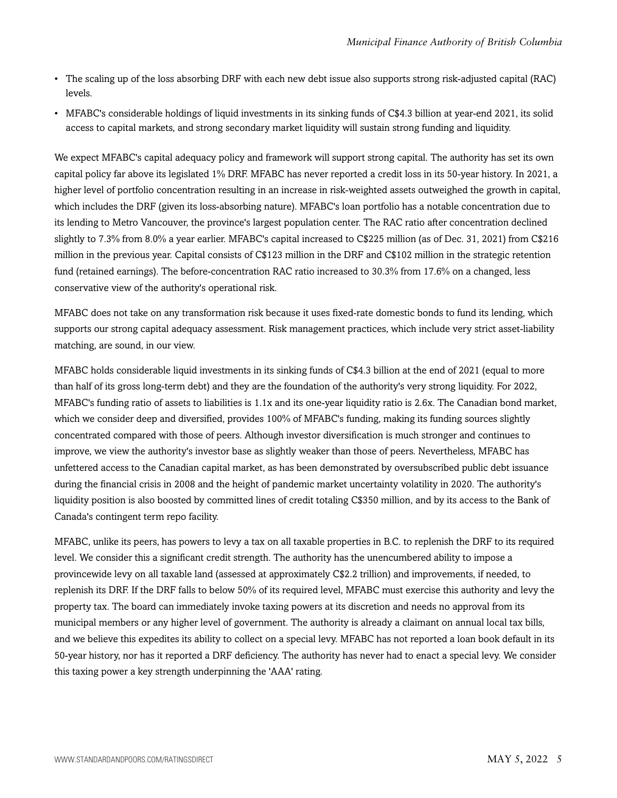- The scaling up of the loss absorbing DRF with each new debt issue also supports strong risk-adjusted capital (RAC) levels.
- MFABC's considerable holdings of liquid investments in its sinking funds of C\$4.3 billion at year-end 2021, its solid access to capital markets, and strong secondary market liquidity will sustain strong funding and liquidity.

We expect MFABC's capital adequacy policy and framework will support strong capital. The authority has set its own capital policy far above its legislated 1% DRF. MFABC has never reported a credit loss in its 50-year history. In 2021, a higher level of portfolio concentration resulting in an increase in risk-weighted assets outweighed the growth in capital, which includes the DRF (given its loss-absorbing nature). MFABC's loan portfolio has a notable concentration due to its lending to Metro Vancouver, the province's largest population center. The RAC ratio after concentration declined slightly to 7.3% from 8.0% a year earlier. MFABC's capital increased to C\$225 million (as of Dec. 31, 2021) from C\$216 million in the previous year. Capital consists of C\$123 million in the DRF and C\$102 million in the strategic retention fund (retained earnings). The before-concentration RAC ratio increased to 30.3% from 17.6% on a changed, less conservative view of the authority's operational risk.

MFABC does not take on any transformation risk because it uses fixed-rate domestic bonds to fund its lending, which supports our strong capital adequacy assessment. Risk management practices, which include very strict asset-liability matching, are sound, in our view.

MFABC holds considerable liquid investments in its sinking funds of C\$4.3 billion at the end of 2021 (equal to more than half of its gross long-term debt) and they are the foundation of the authority's very strong liquidity. For 2022, MFABC's funding ratio of assets to liabilities is 1.1x and its one-year liquidity ratio is 2.6x. The Canadian bond market, which we consider deep and diversified, provides 100% of MFABC's funding, making its funding sources slightly concentrated compared with those of peers. Although investor diversification is much stronger and continues to improve, we view the authority's investor base as slightly weaker than those of peers. Nevertheless, MFABC has unfettered access to the Canadian capital market, as has been demonstrated by oversubscribed public debt issuance during the financial crisis in 2008 and the height of pandemic market uncertainty volatility in 2020. The authority's liquidity position is also boosted by committed lines of credit totaling C\$350 million, and by its access to the Bank of Canada's contingent term repo facility.

MFABC, unlike its peers, has powers to levy a tax on all taxable properties in B.C. to replenish the DRF to its required level. We consider this a significant credit strength. The authority has the unencumbered ability to impose a provincewide levy on all taxable land (assessed at approximately C\$2.2 trillion) and improvements, if needed, to replenish its DRF. If the DRF falls to below 50% of its required level, MFABC must exercise this authority and levy the property tax. The board can immediately invoke taxing powers at its discretion and needs no approval from its municipal members or any higher level of government. The authority is already a claimant on annual local tax bills, and we believe this expedites its ability to collect on a special levy. MFABC has not reported a loan book default in its 50-year history, nor has it reported a DRF deficiency. The authority has never had to enact a special levy. We consider this taxing power a key strength underpinning the 'AAA' rating.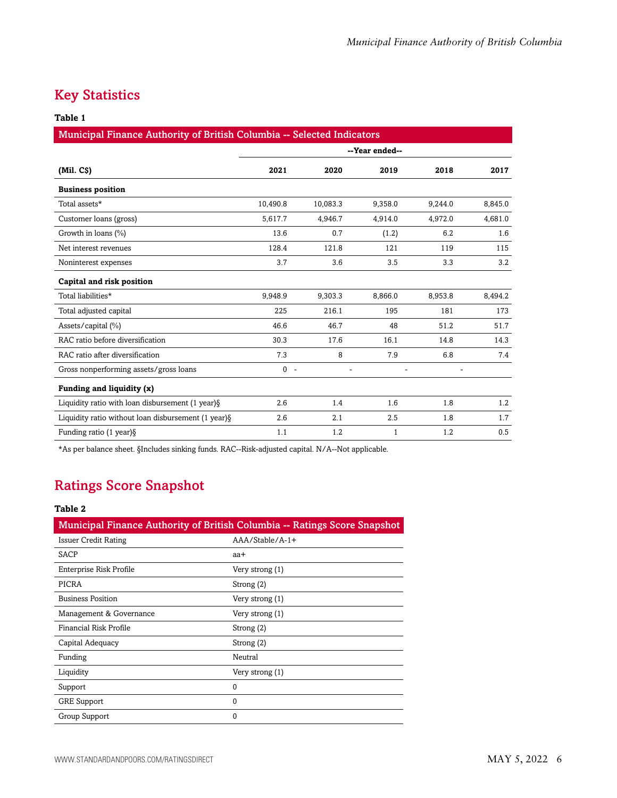## <span id="page-5-0"></span>Key Statistics

#### **Table 1**

| Municipal Finance Authority of British Columbia -- Selected Indicators |                    |          |         |         |         |  |  |
|------------------------------------------------------------------------|--------------------|----------|---------|---------|---------|--|--|
|                                                                        | --Year ended--     |          |         |         |         |  |  |
| (Mil. C <sub>S</sub> )                                                 | 2021               | 2020     | 2019    | 2018    | 2017    |  |  |
| <b>Business position</b>                                               |                    |          |         |         |         |  |  |
| Total assets*                                                          | 10,490.8           | 10,083.3 | 9,358.0 | 9,244.0 | 8,845.0 |  |  |
| Customer loans (gross)                                                 | 5,617.7            | 4,946.7  | 4,914.0 | 4,972.0 | 4,681.0 |  |  |
| Growth in loans (%)                                                    | 13.6               | 0.7      | (1.2)   | 6.2     | 1.6     |  |  |
| Net interest revenues                                                  | 128.4              | 121.8    | 121     | 119     | 115     |  |  |
| Noninterest expenses                                                   | 3.7                | 3.6      | 3.5     | 3.3     | 3.2     |  |  |
| Capital and risk position                                              |                    |          |         |         |         |  |  |
| Total liabilities*                                                     | 9,948.9            | 9,303.3  | 8,866.0 | 8,953.8 | 8,494.2 |  |  |
| Total adjusted capital                                                 | 225                | 216.1    | 195     | 181     | 173     |  |  |
| Assets/capital (%)                                                     | 46.6               | 46.7     | 48      | 51.2    | 51.7    |  |  |
| RAC ratio before diversification                                       | 30.3               | 17.6     | 16.1    | 14.8    | 14.3    |  |  |
| RAC ratio after diversification                                        | 7.3                | 8        | 7.9     | 6.8     | 7.4     |  |  |
| Gross nonperforming assets/gross loans                                 | $\Omega$<br>$\sim$ |          |         |         |         |  |  |
| Funding and liquidity (x)                                              |                    |          |         |         |         |  |  |
| Liquidity ratio with loan disbursement (1 year) §                      | 2.6                | 1.4      | 1.6     | 1.8     | 1.2     |  |  |
| Liquidity ratio without loan disbursement (1 year) §                   | 2.6                | 2.1      | 2.5     | 1.8     | 1.7     |  |  |
| Funding ratio $(1$ year) $\S$                                          | 1.1                | 1.2      | 1       | 1.2     | 0.5     |  |  |

<span id="page-5-1"></span>\*As per balance sheet. §Includes sinking funds. RAC--Risk-adjusted capital. N/A--Not applicable.

## Ratings Score Snapshot

#### **Table 2**

| Municipal Finance Authority of British Columbia -- Ratings Score Snapshot |                  |  |  |  |
|---------------------------------------------------------------------------|------------------|--|--|--|
| <b>Issuer Credit Rating</b>                                               | $AA/Stable/A-1+$ |  |  |  |
| SACP                                                                      | aa+              |  |  |  |
| Enterprise Risk Profile                                                   | Very strong (1)  |  |  |  |
| PICRA                                                                     | Strong (2)       |  |  |  |
| <b>Business Position</b>                                                  | Very strong (1)  |  |  |  |
| Management & Governance                                                   | Very strong (1)  |  |  |  |
| Financial Risk Profile                                                    | Strong (2)       |  |  |  |
| Capital Adequacy                                                          | Strong (2)       |  |  |  |
| Funding                                                                   | Neutral          |  |  |  |
| Liquidity                                                                 | Very strong (1)  |  |  |  |
| Support                                                                   | $\Omega$         |  |  |  |
| <b>GRE</b> Support                                                        | $\Omega$         |  |  |  |
| Group Support                                                             | $\Omega$         |  |  |  |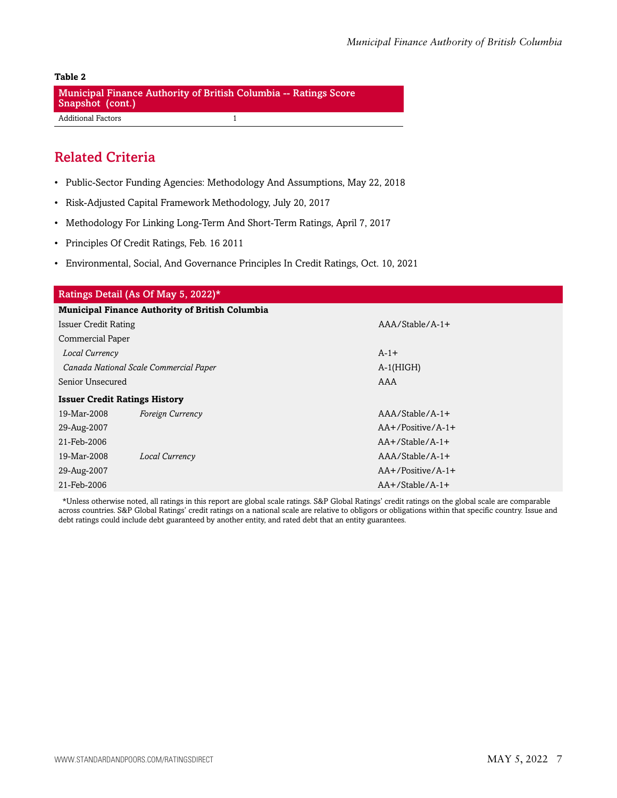#### **Table 2** Municipal Finance Authority of British Columbia -- Ratings Score Snapshot (cont.) Additional Factors 1

### <span id="page-6-0"></span>Related Criteria

- Public-Sector Funding Agencies: Methodology And Assumptions, May 22, 2018
- Risk-Adjusted Capital Framework Methodology, July 20, 2017
- Methodology For Linking Long-Term And Short-Term Ratings, April 7, 2017
- Principles Of Credit Ratings, Feb. 16 2011
- Environmental, Social, And Governance Principles In Credit Ratings, Oct. 10, 2021

| Ratings Detail (As Of May 5, 2022)*                    |                                        |                      |  |  |  |  |
|--------------------------------------------------------|----------------------------------------|----------------------|--|--|--|--|
| <b>Municipal Finance Authority of British Columbia</b> |                                        |                      |  |  |  |  |
| <b>Issuer Credit Rating</b>                            |                                        | $AA/Stable/A-1+$     |  |  |  |  |
| Commercial Paper                                       |                                        |                      |  |  |  |  |
| Local Currency                                         |                                        | $A-1+$               |  |  |  |  |
|                                                        | Canada National Scale Commercial Paper | $A-1(HIGH)$          |  |  |  |  |
| Senior Unsecured                                       |                                        | AAA                  |  |  |  |  |
| <b>Issuer Credit Ratings History</b>                   |                                        |                      |  |  |  |  |
| 19-Mar-2008                                            | Foreign Currency                       | $AA/Stable/A-1+$     |  |  |  |  |
| 29-Aug-2007                                            |                                        | $AA+$ /Positive/A-1+ |  |  |  |  |
| 21-Feb-2006                                            |                                        | $AA+$ /Stable/A-1+   |  |  |  |  |
| 19-Mar-2008                                            | Local Currency                         | $AAA/Stable/A-1+$    |  |  |  |  |
| 29-Aug-2007                                            |                                        | $AA+$ /Positive/A-1+ |  |  |  |  |
| 21-Feb-2006                                            |                                        | $AA+$ /Stable/A-1+   |  |  |  |  |

\*Unless otherwise noted, all ratings in this report are global scale ratings. S&P Global Ratings' credit ratings on the global scale are comparable across countries. S&P Global Ratings' credit ratings on a national scale are relative to obligors or obligations within that specific country. Issue and debt ratings could include debt guaranteed by another entity, and rated debt that an entity guarantees.